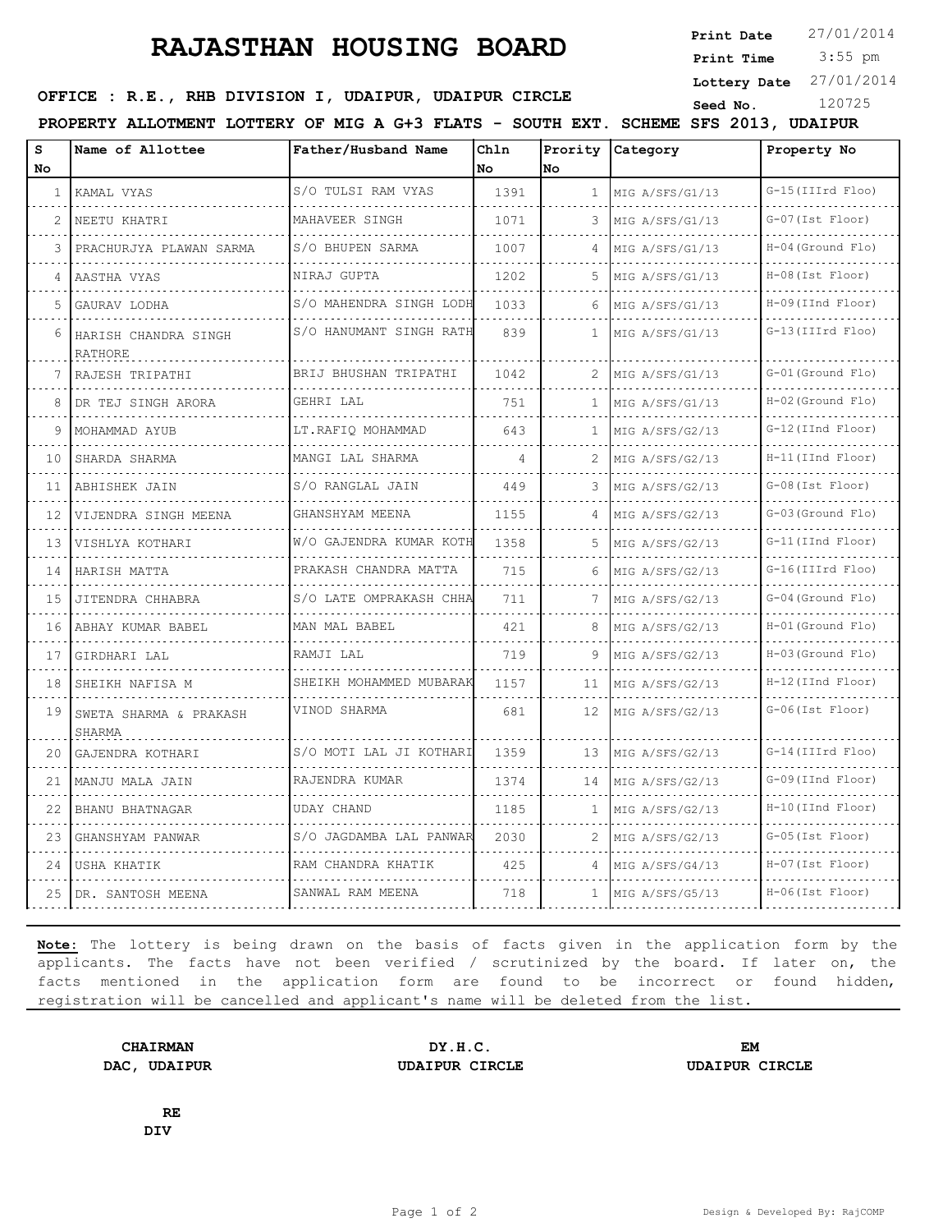## **RAJASTHAN HOUSING BOARD**

**Print Date**  $27/01/2014$ 

 3:55 pm **Print Time**

**Lottery Date** 27/01/2014

| OFFICE : R.E., RHB DIVISION I, UDAIPUR, UDAIPUR CIRCLE |  |  | Seed No |  |
|--------------------------------------------------------|--|--|---------|--|
|--------------------------------------------------------|--|--|---------|--|

**PROPERTY ALLOTMENT LOTTERY OF MIG A G+3 FLATS - SOUTH EXT. SCHEME SFS 2013, UDAIPUR**

| S<br><b>No</b> | Name of Allottee                 | Father/Husband Name     | Chln<br>No. | No.            | Prority Category     | Property No              |
|----------------|----------------------------------|-------------------------|-------------|----------------|----------------------|--------------------------|
| $\mathbf{1}$   | KAMAL VYAS                       | S/O TULSI RAM VYAS      | 1391        | $\mathbf{1}$   | MIG A/SFS/G1/13      | G-15 (IIIrd Floo)        |
| 2              | .<br>NEETU KHATRI                | MAHAVEER SINGH          | 1071        | 3              | .<br>MIG A/SFS/G1/13 | G-07 (Ist Floor)         |
| 3              | PRACHURJYA PLAWAN SARMA          | S/O BHUPEN SARMA        | 1007        | $\overline{4}$ | MIG A/SFS/G1/13      | H-04 (Ground Flo)        |
| 4              | AASTHA VYAS                      | NIRAJ GUPTA             | 1202        | 5              | MIG A/SFS/G1/13      | H-08 (Ist Floor)         |
| 5              | GAURAV LODHA                     | S/O MAHENDRA SINGH LODH | 1033        |                | MIG A/SFS/G1/13      | H-09(IInd Floor)         |
| 6              | HARISH CHANDRA SINGH<br>RATHORE  | S/O HANUMANT SINGH RATH | 839         | 1.             | MIG A/SFS/G1/13      | G-13 (IIIrd Floo)        |
| 7              | RAJESH TRIPATHI                  | BRIJ BHUSHAN TRIPATHI   | 1042        | 2              | MIG A/SFS/G1/13      | G-01 (Ground Flo)        |
| 8              | DR TEJ SINGH ARORA               | GEHRI LAL               | 751         | $\mathbf{1}$   | MIG A/SFS/G1/13<br>. | $H-02$ (Ground Flo)<br>. |
| 9              | MOHAMMAD AYUB                    | LT.RAFIO MOHAMMAD       | 643         | $\mathbf{1}$   | MIG A/SFS/G2/13      | G-12(IInd Floor)         |
| 10             | SHARDA SHARMA                    | MANGI LAL SHARMA        | 4           | 2              | MIG A/SFS/G2/13      | H-11 (IInd Floor)        |
| 11             | ABHISHEK JAIN                    | S/O RANGLAL JAIN        | 449         | 3              | MIG A/SFS/G2/13      | G-08 (Ist Floor)         |
| 12.            | VIJENDRA SINGH MEENA             | GHANSHYAM MEENA         | 1155        |                | MIG A/SFS/G2/13      | G-03 (Ground Flo)        |
| 13             | VISHLYA KOTHARI                  | W/O GAJENDRA KUMAR KOTH | 1358        | 5.             | MIG A/SFS/G2/13      | G-11 (IInd Floor)        |
| 14             | HARISH MATTA                     | PRAKASH CHANDRA MATTA   | 715         | 6              | MIG A/SFS/G2/13      | G-16(IIIrd Floo)         |
| 1.5            | JITENDRA CHHABRA                 | S/O LATE OMPRAKASH CHHA | 711         |                | MIG A/SFS/G2/13      | .<br>G-04 (Ground Flo)   |
| 16             | ABHAY KUMAR BABEL                | MAN MAL BABEL           | 421         | 8              | MIG A/SFS/G2/13      | H-01 (Ground Flo)        |
| 17             | GIRDHARI LAL                     | RAMJI LAL               | 719         | 9              | MIG A/SFS/G2/13      | $H-03$ (Ground Flo)      |
| 18             | SHEIKH NAFISA M                  | SHEIKH MOHAMMED MUBARAK | 1157        | 11             | MIG A/SFS/G2/13      | $H-12$ (IInd Floor)      |
| 19             | SWETA SHARMA & PRAKASH<br>SHARMA | VINOD SHARMA            | 681         | 12             | MIG A/SFS/G2/13      | G-06(Ist Floor)          |
| 20             | GAJENDRA KOTHARI                 | S/O MOTI LAL JI KOTHARI | 1359        | 13             | MIG A/SFS/G2/13      | G-14 (IIIrd Floo)        |
| 21             | MANJU MALA JAIN                  | RAJENDRA KUMAR          | 1374        | 14             | MIG A/SFS/G2/13      | G-09(IInd Floor)         |
| 22             | BHANU BHATNAGAR                  | <b>UDAY CHAND</b>       | 1185        | 1.             | MIG A/SFS/G2/13      | $H-10$ (IInd Floor)      |
| 23             | GHANSHYAM PANWAR                 | S/O JAGDAMBA LAL PANWAR | 2030        | 2              | MIG A/SFS/G2/13      | G-05 (Ist Floor)         |
| 24             | USHA KHATIK                      | RAM CHANDRA KHATIK      | 425         | 4              | MIG A/SFS/G4/13      | $H-07$ (Ist Floor)       |
| 25             | DR. SANTOSH MEENA                | SANWAL RAM MEENA        | 718         | $\mathbf{1}$   | MIG A/SFS/G5/13      | $H-06$ (Ist Floor)       |

**Note:** The lottery is being drawn on the basis of facts given in the application form by the applicants. The facts have not been verified / scrutinized by the board. If later on, the facts mentioned in the application form are found to be incorrect or found hidden, registration will be cancelled and applicant's name will be deleted from the list.

**CHAIRMAN DY.H.C. EM DAC, UDAIPUR UDAIPUR CIRCLE UDAIPUR CIRCLE**

**RE DIV**